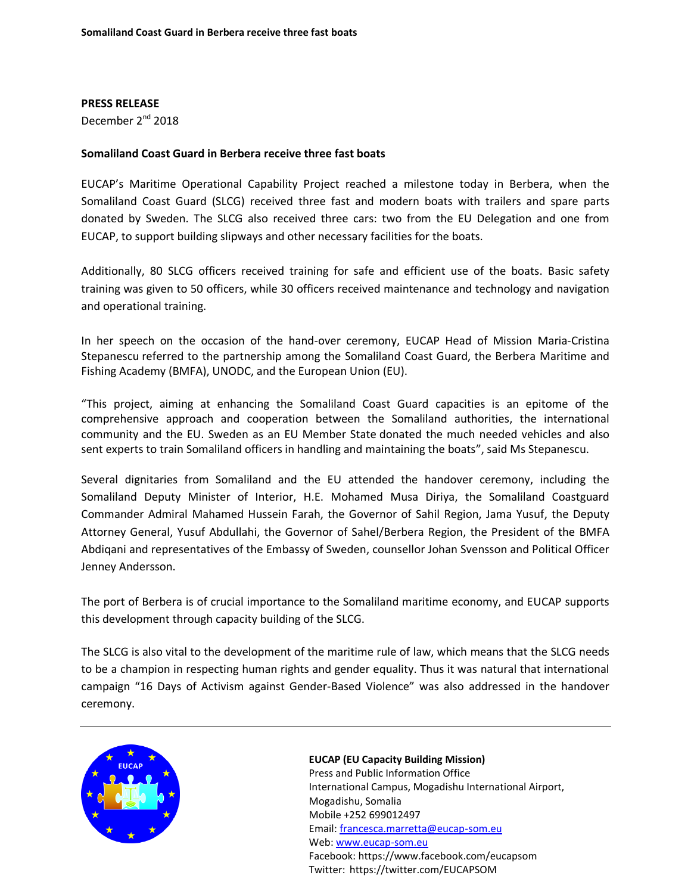### **PRESS RELEASE**

December 2<sup>nd</sup> 2018

# **Somaliland Coast Guard in Berbera receive three fast boats**

EUCAP's Maritime Operational Capability Project reached a milestone today in Berbera, when the Somaliland Coast Guard (SLCG) received three fast and modern boats with trailers and spare parts donated by Sweden. The SLCG also received three cars: two from the EU Delegation and one from EUCAP, to support building slipways and other necessary facilities for the boats.

Additionally, 80 SLCG officers received training for safe and efficient use of the boats. Basic safety training was given to 50 officers, while 30 officers received maintenance and technology and navigation and operational training.

In her speech on the occasion of the hand-over ceremony, EUCAP Head of Mission Maria-Cristina Stepanescu referred to the partnership among the Somaliland Coast Guard, the Berbera Maritime and Fishing Academy (BMFA), UNODC, and the European Union (EU).

"This project, aiming at enhancing the Somaliland Coast Guard capacities is an epitome of the comprehensive approach and cooperation between the Somaliland authorities, the international community and the EU. Sweden as an EU Member State donated the much needed vehicles and also sent experts to train Somaliland officers in handling and maintaining the boats", said Ms Stepanescu.

Several dignitaries from Somaliland and the EU attended the handover ceremony, including the Somaliland Deputy Minister of Interior, H.E. Mohamed Musa Diriya, the Somaliland Coastguard Commander Admiral Mahamed Hussein Farah, the Governor of Sahil Region, Jama Yusuf, the Deputy Attorney General, Yusuf Abdullahi, the Governor of Sahel/Berbera Region, the President of the BMFA Abdiqani and representatives of the Embassy of Sweden, counsellor Johan Svensson and Political Officer Jenney Andersson.

The port of Berbera is of crucial importance to the Somaliland maritime economy, and EUCAP supports this development through capacity building of the SLCG.

The SLCG is also vital to the development of the maritime rule of law, which means that the SLCG needs to be a champion in respecting human rights and gender equality. Thus it was natural that international campaign "16 Days of Activism against Gender-Based Violence" was also addressed in the handover ceremony.



## **EUCAP (EU Capacity Building Mission)**

Press and Public Information Office International Campus, Mogadishu International Airport, Mogadishu, Somalia Mobile +252 699012497 Email: [francesca.marretta@eucap-som.eu](mailto:francesca.marretta@eucap-som.eu) Web: [www.eucap-som.eu](http://www.eucap-som.eu/) Facebook: https://www.facebook.com/eucapsom Twitter: https://twitter.com/EUCAPSOM